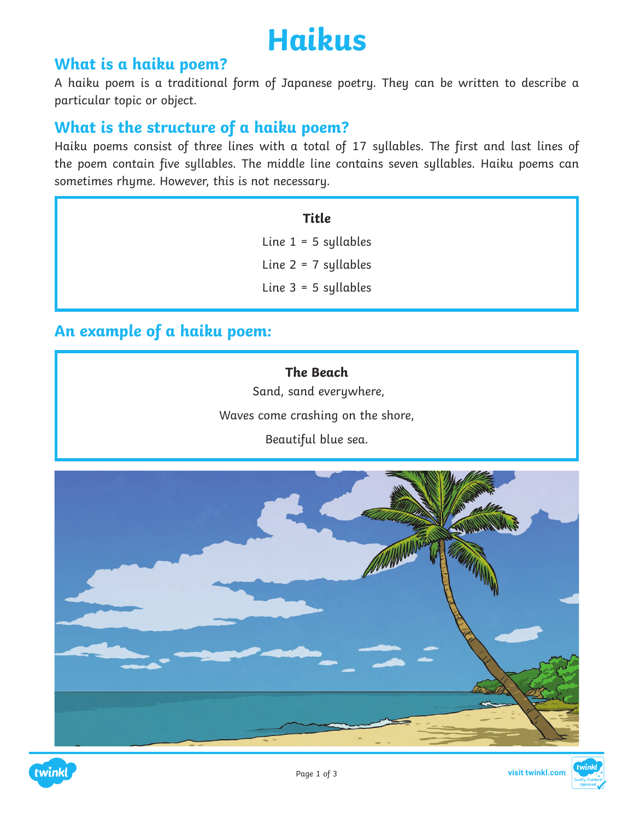

## **What is a haiku poem?**

A haiku poem is a traditional form of Japanese poetry. They can be written to describe a particular topic or object.

## **What is the structure of a haiku poem?**

Haiku poems consist of three lines with a total of 17 syllables. The first and last lines of the poem contain five syllables. The middle line contains seven syllables. Haiku poems can sometimes rhyme. However, this is not necessary.

#### **Title**

Line  $1 = 5$  syllables Line  $2 = 7$  syllables Line 3 = 5 syllables

### **An example of a haiku poem:**

**The Beach** Sand, sand everywhere, Waves come crashing on the shore, Beautiful blue sea.



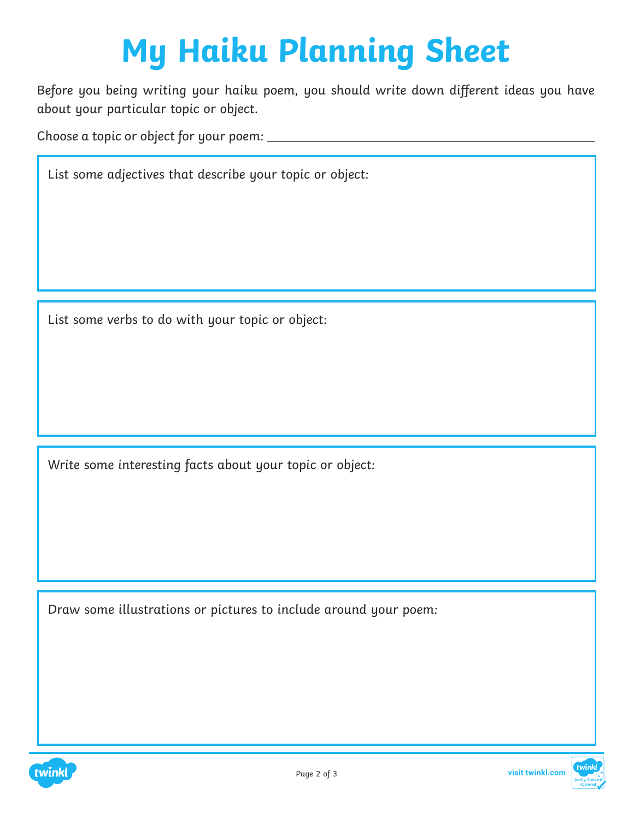# **My Haiku Planning Sheet**

Before you being writing your haiku poem, you should write down different ideas you have about your particular topic or object.

Choose a topic or object for your poem:

List some adjectives that describe your topic or object:

List some verbs to do with your topic or object:

Write some interesting facts about your topic or object:

Draw some illustrations or pictures to include around your poem: